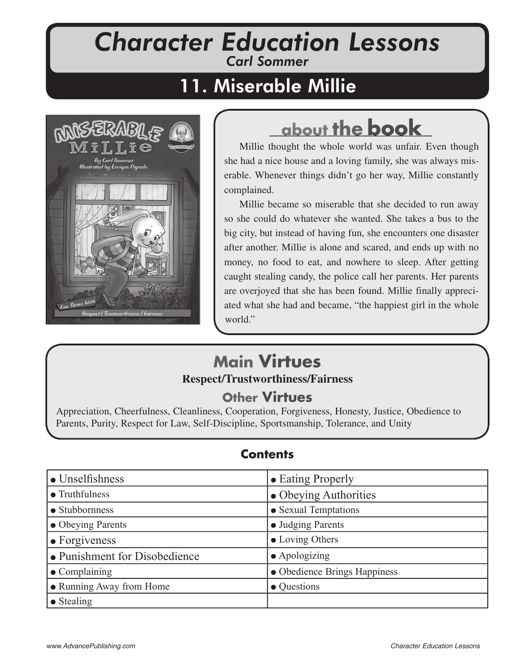# *Character Education Lessons Carl Sommer*

# 11. Miserable Millie



# **about the book**

Millie thought the whole world was unfair. Even though she had a nice house and a loving family, she was always miserable. Whenever things didn't go her way, Millie constantly complained.

Millie became so miserable that she decided to run away so she could do whatever she wanted. She takes a bus to the big city, but instead of having fun, she encounters one disaster after another. Millie is alone and scared, and ends up with no money, no food to eat, and nowhere to sleep. After getting caught stealing candy, the police call her parents. Her parents are overjoyed that she has been found. Millie finally appreciated what she had and became, "the happiest girl in the whole world."

## **Main Virtues Respect Respect/Trustworthiness/Fairness /Trustworthiness/Fairness**

## **Other Virtues**

Appreciation, Cheerfulness, Cleanliness, Cooperation, Forgiveness, Honesty, Justice, Obedience to Parents, Purity, Respect for Law, Self-Discipline, Sportsmanship, Tolerance, and Unity

### **Contents**

| $\bullet$ Unselfishness       | • Eating Properly            |
|-------------------------------|------------------------------|
| $\bullet$ Truthfulness        | • Obeying Authorities        |
| • Stubbornness                | • Sexual Temptations         |
| • Obeying Parents             | • Judging Parents            |
| $\bullet$ Forgiveness         | • Loving Others              |
| • Punishment for Disobedience | $\bullet$ Apologizing        |
| $\bullet$ Complaining         | • Obedience Brings Happiness |
| • Running Away from Home      | • Questions                  |
| $\bullet$ Stealing            |                              |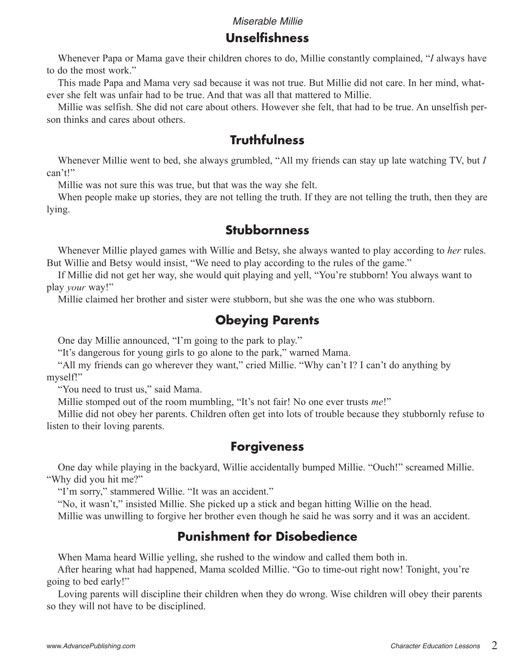### **Unselfi shness**

 Whenever Papa or Mama gave their children chores to do, Millie constantly complained, "*I* always have to do the most work."

 This made Papa and Mama very sad because it was not true. But Millie did not care. In her mind, whatever she felt was unfair had to be true. And that was all that mattered to Millie.

 Millie was selfish. She did not care about others. However she felt, that had to be true. An unselfish person thinks and cares about others.

## **Truthfulness**

 Whenever Millie went to bed, she always grumbled, "All my friends can stay up late watching TV, but *I* can't!"

Millie was not sure this was true, but that was the way she felt.

 When people make up stories, they are not telling the truth. If they are not telling the truth, then they are lying.

### **Stubbornness**

 Whenever Millie played games with Willie and Betsy, she always wanted to play according to *her* rules. But Willie and Betsy would insist, "We need to play according to the rules of the game."

 If Millie did not get her way, she would quit playing and yell, "You're stubborn! You always want to play *your* way!"

Millie claimed her brother and sister were stubborn, but she was the one who was stubborn.

## **Obeying Parents**

One day Millie announced, "I'm going to the park to play."

"It's dangerous for young girls to go alone to the park," warned Mama.

 "All my friends can go wherever they want," cried Millie. "Why can't I? I can't do anything by myself!"

"You need to trust us," said Mama.

Millie stomped out of the room mumbling, "It's not fair! No one ever trusts *me*!"

 Millie did not obey her parents. Children often get into lots of trouble because they stubbornly refuse to listen to their loving parents.

### **Forgiveness**

 One day while playing in the backyard, Willie accidentally bumped Millie. "Ouch!" screamed Millie. "Why did you hit me?"

"I'm sorry," stammered Willie. "It was an accident."

"No, it wasn't," insisted Millie. She picked up a stick and began hitting Willie on the head.

Millie was unwilling to forgive her brother even though he said he was sorry and it was an accident.

## **Punishment for Disobedience**

When Mama heard Willie yelling, she rushed to the window and called them both in.

 After hearing what had happened, Mama scolded Millie. "Go to time-out right now! Tonight, you're going to bed early!"

 Loving parents will discipline their children when they do wrong. Wise children will obey their parents so they will not have to be disciplined.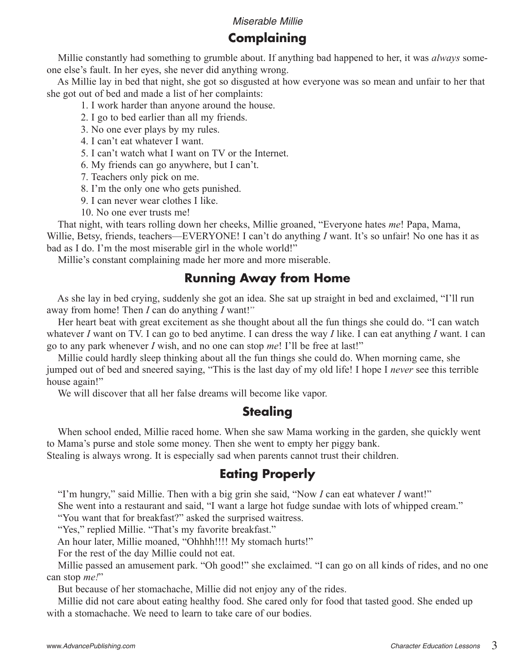## **Complaining**

 Millie constantly had something to grumble about. If anything bad happened to her, it was *always* someone else's fault. In her eyes, she never did anything wrong.

 As Millie lay in bed that night, she got so disgusted at how everyone was so mean and unfair to her that she got out of bed and made a list of her complaints:

1. I work harder than anyone around the house.

- 2. I go to bed earlier than all my friends.
- 3. No one ever plays by my rules.
- 4. I can't eat whatever I want.
- 5. I can't watch what I want on TV or the Internet.
- 6. My friends can go anywhere, but I can't.
- 7. Teachers only pick on me.
- 8. I'm the only one who gets punished.
- 9. I can never wear clothes I like.
- 10. No one ever trusts me!

 That night, with tears rolling down her cheeks, Millie groaned, "Everyone hates *me*! Papa, Mama, Willie, Betsy, friends, teachers—EVERYONE! I can't do anything *I* want. It's so unfair! No one has it as bad as I do. I'm the most miserable girl in the whole world!"

Millie's constant complaining made her more and more miserable.

#### **Running Away from Home**

 As she lay in bed crying, suddenly she got an idea. She sat up straight in bed and exclaimed, "I'll run away from home! Then *I* can do anything *I* want!"

 Her heart beat with great excitement as she thought about all the fun things she could do. "I can watch whatever *I* want on TV. I can go to bed anytime. I can dress the way *I* like. I can eat anything *I* want. I can go to any park whenever *I* wish, and no one can stop *me*! I'll be free at last!"

 Millie could hardly sleep thinking about all the fun things she could do. When morning came, she jumped out of bed and sneered saying, "This is the last day of my old life! I hope I *never* see this terrible house again!"

We will discover that all her false dreams will become like vapor.

### **Stealing**

 When school ended, Millie raced home. When she saw Mama working in the garden, she quickly went to Mama's purse and stole some money. Then she went to empty her piggy bank.

Stealing is always wrong. It is especially sad when parents cannot trust their children.

### **Eating Properly**

"I'm hungry," said Millie. Then with a big grin she said, "Now *I* can eat whatever *I* want!"

She went into a restaurant and said, "I want a large hot fudge sundae with lots of whipped cream."

"You want that for breakfast?" asked the surprised waitress.

"Yes," replied Millie. "That's my favorite breakfast."

An hour later, Millie moaned, "Ohhhh!!!! My stomach hurts!"

For the rest of the day Millie could not eat.

 Millie passed an amusement park. "Oh good!" she exclaimed. "I can go on all kinds of rides, and no one can stop *me!*"

But because of her stomachache, Millie did not enjoy any of the rides.

 Millie did not care about eating healthy food. She cared only for food that tasted good. She ended up with a stomachache. We need to learn to take care of our bodies.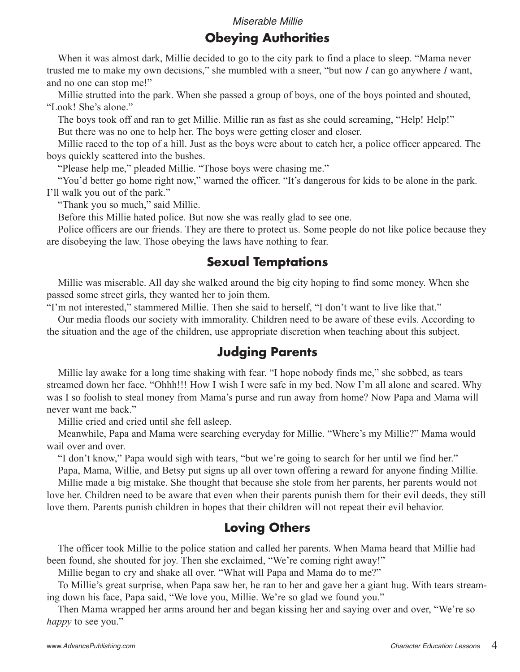## **Obeying Authorities**

 When it was almost dark, Millie decided to go to the city park to find a place to sleep. "Mama never trusted me to make my own decisions," she mumbled with a sneer, "but now *I* can go anywhere *I* want, and no one can stop me!"

 Millie strutted into the park. When she passed a group of boys, one of the boys pointed and shouted, "Look! She's alone."

 The boys took off and ran to get Millie. Millie ran as fast as she could screaming, "Help! Help!" But there was no one to help her. The boys were getting closer and closer.

 Millie raced to the top of a hill. Just as the boys were about to catch her, a police officer appeared. The boys quickly scattered into the bushes.

"Please help me," pleaded Millie. "Those boys were chasing me."

 "You'd better go home right now," warned the officer. "It's dangerous for kids to be alone in the park. I'll walk you out of the park."

"Thank you so much," said Millie.

Before this Millie hated police. But now she was really glad to see one.

 Police officers are our friends. They are there to protect us. Some people do not like police because they are disobeying the law. Those obeying the laws have nothing to fear.

#### **Sexual Temptations**

 Millie was miserable. All day she walked around the big city hoping to find some money. When she passed some street girls, they wanted her to join them.

"I'm not interested," stammered Millie. Then she said to herself, "I don't want to live like that."

 Our media floods our society with immorality. Children need to be aware of these evils. According to the situation and the age of the children, use appropriate discretion when teaching about this subject.

## **Judging Parents**

 Millie lay awake for a long time shaking with fear. "I hope nobody finds me," she sobbed, as tears streamed down her face. "Ohhh!!! How I wish I were safe in my bed. Now I'm all alone and scared. Why was I so foolish to steal money from Mama's purse and run away from home? Now Papa and Mama will never want me back."

Millie cried and cried until she fell asleep.

 Meanwhile, Papa and Mama were searching everyday for Millie. "Where's my Millie?" Mama would wail over and over.

"I don't know," Papa would sigh with tears, "but we're going to search for her until we find her."

 Papa, Mama, Willie, and Betsy put signs up all over town offering a reward for anyone finding Millie. Millie made a big mistake. She thought that because she stole from her parents, her parents would not love her. Children need to be aware that even when their parents punish them for their evil deeds, they still

love them. Parents punish children in hopes that their children will not repeat their evil behavior.

### **Loving Others**

 The officer took Millie to the police station and called her parents. When Mama heard that Millie had been found, she shouted for joy. Then she exclaimed, "We're coming right away!"

Millie began to cry and shake all over. "What will Papa and Mama do to me?"

 To Millie's great surprise, when Papa saw her, he ran to her and gave her a giant hug. With tears streaming down his face, Papa said, "We love you, Millie. We're so glad we found you."

 Then Mama wrapped her arms around her and began kissing her and saying over and over, "We're so *happy* to see you."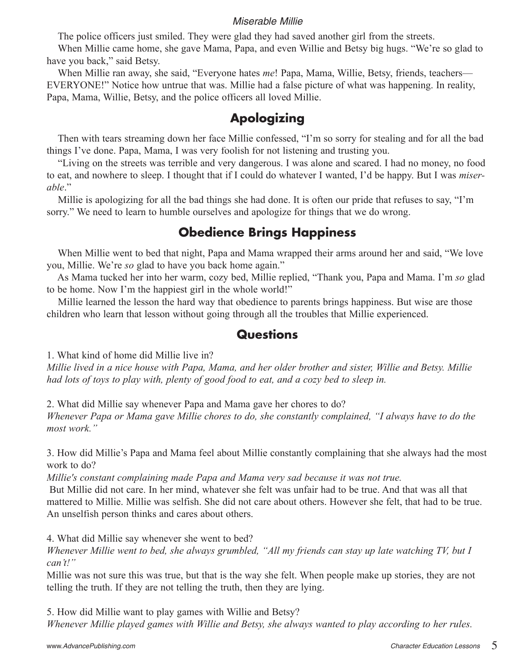The police officers just smiled. They were glad they had saved another girl from the streets.

 When Millie came home, she gave Mama, Papa, and even Willie and Betsy big hugs. "We're so glad to have you back," said Betsy.

 When Millie ran away, she said, "Everyone hates *me*! Papa, Mama, Willie, Betsy, friends, teachers— EVERYONE!" Notice how untrue that was. Millie had a false picture of what was happening. In reality, Papa, Mama, Willie, Betsy, and the police officers all loved Millie.

## **Apologizing**

 Then with tears streaming down her face Millie confessed, "I'm so sorry for stealing and for all the bad things I've done. Papa, Mama, I was very foolish for not listening and trusting you.

 "Living on the streets was terrible and very dangerous. I was alone and scared. I had no money, no food to eat, and nowhere to sleep. I thought that if I could do whatever I wanted, I'd be happy. But I was *miserable*."

 Millie is apologizing for all the bad things she had done. It is often our pride that refuses to say, "I'm sorry." We need to learn to humble ourselves and apologize for things that we do wrong.

## **Obedience Brings Happiness**

 When Millie went to bed that night, Papa and Mama wrapped their arms around her and said, "We love you, Millie. We're *so* glad to have you back home again."

 As Mama tucked her into her warm, cozy bed, Millie replied, "Thank you, Papa and Mama. I'm *so* glad to be home. Now I'm the happiest girl in the whole world!"

 Millie learned the lesson the hard way that obedience to parents brings happiness. But wise are those children who learn that lesson without going through all the troubles that Millie experienced.

#### **Questions**

1. What kind of home did Millie live in?

*Millie lived in a nice house with Papa, Mama, and her older brother and sister, Willie and Betsy. Millie had lots of toys to play with, plenty of good food to eat, and a cozy bed to sleep in.* 

2. What did Millie say whenever Papa and Mama gave her chores to do?

*Whenever Papa or Mama gave Millie chores to do, she constantly complained, "I always have to do the most work."*

3. How did Millie's Papa and Mama feel about Millie constantly complaining that she always had the most work to do?

*Millie's constant complaining made Papa and Mama very sad because it was not true.*

 But Millie did not care. In her mind, whatever she felt was unfair had to be true. And that was all that mattered to Millie. Millie was selfish. She did not care about others. However she felt, that had to be true. An unselfish person thinks and cares about others.

4. What did Millie say whenever she went to bed?

*Whenever Millie went to bed, she always grumbled, "All my friends can stay up late watching TV, but I can't!"* 

Millie was not sure this was true, but that is the way she felt. When people make up stories, they are not telling the truth. If they are not telling the truth, then they are lying.

5. How did Millie want to play games with Willie and Betsy? *Whenever Millie played games with Willie and Betsy, she always wanted to play according to her rules.*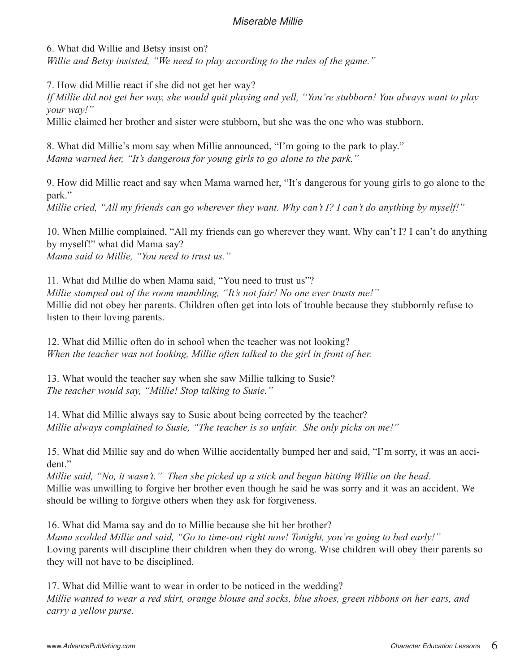6. What did Willie and Betsy insist on?

*Willie and Betsy insisted, "We need to play according to the rules of the game."*

7. How did Millie react if she did not get her way?

*If Millie did not get her way, she would quit playing and yell, "You're stubborn! You always want to play your way!"*

Millie claimed her brother and sister were stubborn, but she was the one who was stubborn.

8. What did Millie's mom say when Millie announced, "I'm going to the park to play." *Mama warned her, "It's dangerous for young girls to go alone to the park."*

9. How did Millie react and say when Mama warned her, "It's dangerous for young girls to go alone to the park."

*Millie cried, "All my friends can go wherever they want. Why can't I? I can't do anything by myself!"*

10. When Millie complained, "All my friends can go wherever they want. Why can't I? I can't do anything by myself!" what did Mama say? *Mama said to Millie, "You need to trust us."*

11. What did Millie do when Mama said, "You need to trust us"? *Millie stomped out of the room mumbling, "It's not fair! No one ever trusts me!"* Millie did not obey her parents. Children often get into lots of trouble because they stubbornly refuse to listen to their loving parents.

12. What did Millie often do in school when the teacher was not looking? *When the teacher was not looking, Millie often talked to the girl in front of her.*

13. What would the teacher say when she saw Millie talking to Susie? *The teacher would say, "Millie! Stop talking to Susie."*

14. What did Millie always say to Susie about being corrected by the teacher? *Millie always complained to Susie, "The teacher is so unfair. She only picks on me!"*

15. What did Millie say and do when Willie accidentally bumped her and said, "I'm sorry, it was an accident"

*Millie said, "No, it wasn't." Then she picked up a stick and began hitting Willie on the head.* Millie was unwilling to forgive her brother even though he said he was sorry and it was an accident. We should be willing to forgive others when they ask for forgiveness.

16. What did Mama say and do to Millie because she hit her brother? *Mama scolded Millie and said, "Go to time-out right now! Tonight, you're going to bed early!"* Loving parents will discipline their children when they do wrong. Wise children will obey their parents so they will not have to be disciplined.

17. What did Millie want to wear in order to be noticed in the wedding? *Millie wanted to wear a red skirt, orange blouse and socks, blue shoes, green ribbons on her ears, and carry a yellow purse.*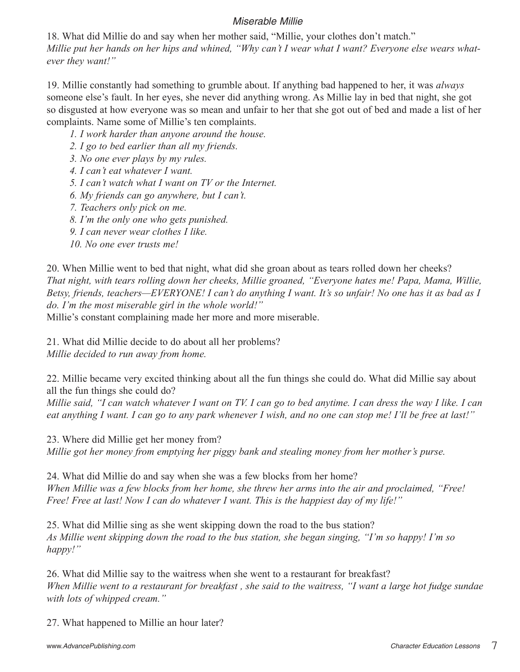18. What did Millie do and say when her mother said, "Millie, your clothes don't match." *Millie put her hands on her hips and whined, "Why can't I wear what I want? Everyone else wears whatever they want!"*

19. Millie constantly had something to grumble about. If anything bad happened to her, it was *always* someone else's fault. In her eyes, she never did anything wrong. As Millie lay in bed that night, she got so disgusted at how everyone was so mean and unfair to her that she got out of bed and made a list of her complaints. Name some of Millie's ten complaints.

*1. I work harder than anyone around the house.*

*2. I go to bed earlier than all my friends.*

*3. No one ever plays by my rules.*

*4. I can't eat whatever I want.*

*5. I can't watch what I want on TV or the Internet.*

*6. My friends can go anywhere, but I can't.*

*7. Teachers only pick on me.*

*8. I'm the only one who gets punished.*

*9. I can never wear clothes I like.*

*10. No one ever trusts me!*

20. When Millie went to bed that night, what did she groan about as tears rolled down her cheeks? *That night, with tears rolling down her cheeks, Millie groaned, "Everyone hates me! Papa, Mama, Willie, Betsy, friends, teachers—EVERYONE! I can't do anything I want. It's so unfair! No one has it as bad as I do. I'm the most miserable girl in the whole world!"*

Millie's constant complaining made her more and more miserable.

21. What did Millie decide to do about all her problems?

*Millie decided to run away from home.*

22. Millie became very excited thinking about all the fun things she could do. What did Millie say about all the fun things she could do?

*Millie said, "I can watch whatever I want on TV. I can go to bed anytime. I can dress the way I like. I can eat anything I want. I can go to any park whenever I wish, and no one can stop me! I'll be free at last!"*

23. Where did Millie get her money from?

*Millie got her money from emptying her piggy bank and stealing money from her mother's purse.*

24. What did Millie do and say when she was a few blocks from her home? *When Millie was a few blocks from her home, she threw her arms into the air and proclaimed, "Free! Free! Free at last! Now I can do whatever I want. This is the happiest day of my life!"*

25. What did Millie sing as she went skipping down the road to the bus station? *As Millie went skipping down the road to the bus station, she began singing, "I'm so happy! I'm so happy!"* 

26. What did Millie say to the waitress when she went to a restaurant for breakfast? *When Millie went to a restaurant for breakfast, she said to the waitress, "I want a large hot fudge sundae with lots of whipped cream."*

27. What happened to Millie an hour later?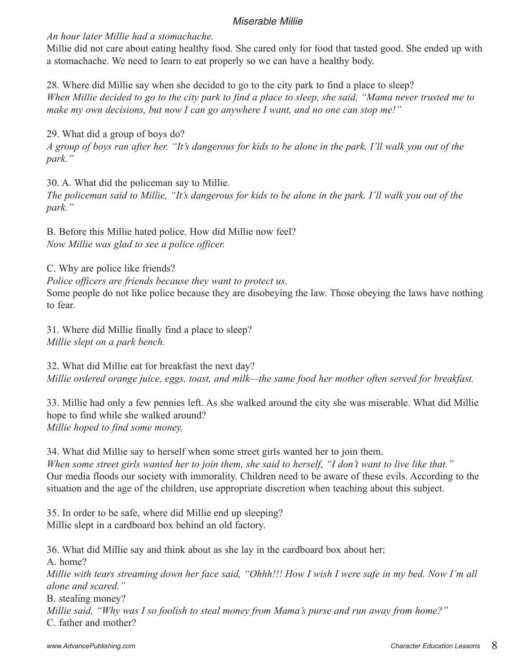*An hour later Millie had a stomachache.*

Millie did not care about eating healthy food. She cared only for food that tasted good. She ended up with a stomachache. We need to learn to eat properly so we can have a healthy body.

28. Where did Millie say when she decided to go to the city park to find a place to sleep? *When Millie decided to go to the city park to find a place to sleep, she said, "Mama never trusted me to make my own decisions, but now I can go anywhere I want, and no one can stop me!"*

29. What did a group of boys do? *A group of boys ran after her. "It's dangerous for kids to be alone in the park. I'll walk you out of the park."*

30. A. What did the policeman say to Millie. *The policeman said to Millie, "It's dangerous for kids to be alone in the park. I'll walk you out of the park."*

B. Before this Millie hated police. How did Millie now feel? *Now Millie was glad to see a police officer.*

C. Why are police like friends? *Police officers are friends because they want to protect us.* Some people do not like police because they are disobeying the law. Those obeying the laws have nothing to fear.

31. Where did Millie finally find a place to sleep? *Millie slept on a park bench.*

32. What did Millie eat for breakfast the next day? *Millie ordered orange juice, eggs, toast, and milk—the same food her mother often served for breakfast.*

33. Millie had only a few pennies left. As she walked around the city she was miserable. What did Millie hope to find while she walked around? *Millie hoped to find some money.*

34. What did Millie say to herself when some street girls wanted her to join them. *When some street girls wanted her to join them, she said to herself, "I don't want to live like that."* Our media floods our society with immorality. Children need to be aware of these evils. According to the situation and the age of the children, use appropriate discretion when teaching about this subject.

35. In order to be safe, where did Millie end up sleeping? Millie slept in a cardboard box behind an old factory.

36. What did Millie say and think about as she lay in the cardboard box about her: A. home? *Millie with tears streaming down her face said, "Ohhh!!! How I wish I were safe in my bed. Now I'm all alone and scared."* B. stealing money? *Millie said, "Why was I so foolish to steal money from Mama's purse and run away from home?"* C. father and mother?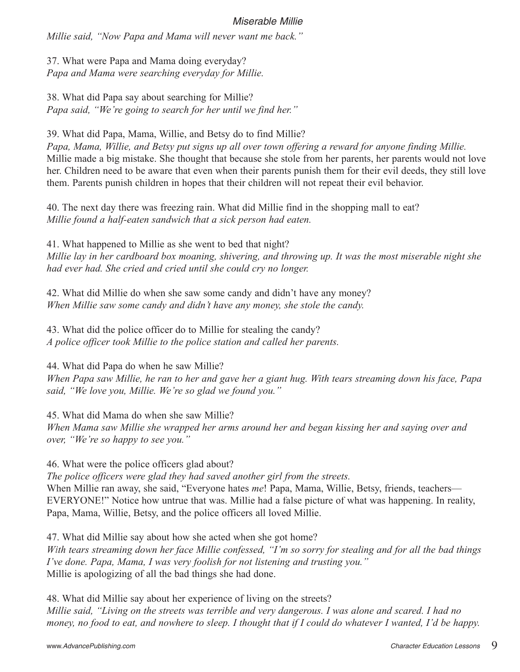*Millie said, "Now Papa and Mama will never want me back."*

37. What were Papa and Mama doing everyday? *Papa and Mama were searching everyday for Millie.*

38. What did Papa say about searching for Millie? *Papa said, "We're going to search for her until we find her."*

39. What did Papa, Mama, Willie, and Betsy do to find Millie?

*Papa, Mama, Willie, and Betsy put signs up all over town offering a reward for anyone finding Millie.* Millie made a big mistake. She thought that because she stole from her parents, her parents would not love her. Children need to be aware that even when their parents punish them for their evil deeds, they still love them. Parents punish children in hopes that their children will not repeat their evil behavior.

40. The next day there was freezing rain. What did Millie find in the shopping mall to eat? *Millie found a half-eaten sandwich that a sick person had eaten.*

41. What happened to Millie as she went to bed that night? *Millie lay in her cardboard box moaning, shivering, and throwing up. It was the most miserable night she had ever had. She cried and cried until she could cry no longer.*

42. What did Millie do when she saw some candy and didn't have any money? *When Millie saw some candy and didn't have any money, she stole the candy.*

43. What did the police officer do to Millie for stealing the candy? *A police officer took Millie to the police station and called her parents.*

44. What did Papa do when he saw Millie?

*When Papa saw Millie, he ran to her and gave her a giant hug. With tears streaming down his face, Papa said, "We love you, Millie. We're so glad we found you."*

45. What did Mama do when she saw Millie?

*When Mama saw Millie she wrapped her arms around her and began kissing her and saying over and over, "We're so happy to see you."*

46. What were the police officers glad about?

*The police officers were glad they had saved another girl from the streets.*

When Millie ran away, she said, "Everyone hates *me*! Papa, Mama, Willie, Betsy, friends, teachers— EVERYONE!" Notice how untrue that was. Millie had a false picture of what was happening. In reality, Papa, Mama, Willie, Betsy, and the police officers all loved Millie.

47. What did Millie say about how she acted when she got home?

*With tears streaming down her face Millie confessed, "I'm so sorry for stealing and for all the bad things I've done. Papa, Mama, I was very foolish for not listening and trusting you."* Millie is apologizing of all the bad things she had done.

48. What did Millie say about her experience of living on the streets? *Millie said, "Living on the streets was terrible and very dangerous. I was alone and scared. I had no money, no food to eat, and nowhere to sleep. I thought that if I could do whatever I wanted, I'd be happy.*